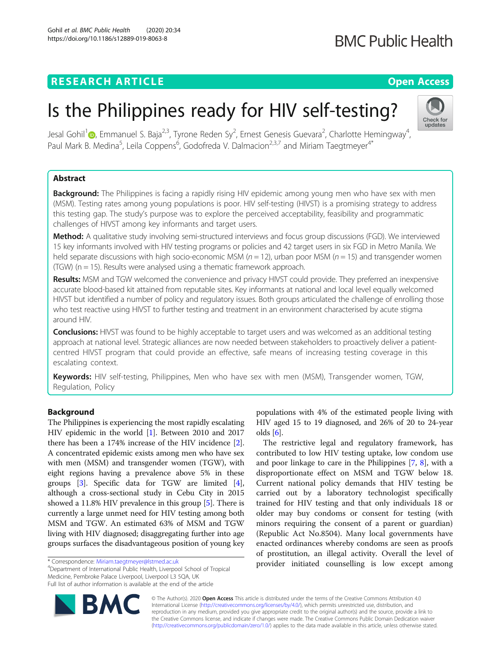# **RESEARCH ARTICLE Example 2014 CONSIDERING A RESEARCH ARTICLE**

# Is the Philippines ready for HIV self-testing?

Jesal Gohil<sup>1</sup> $\bullet$ [,](http://orcid.org/0000-0001-5708-6317) Emmanuel S. Baja<sup>2,3</sup>, Tyrone Reden Sy<sup>2</sup>, Ernest Genesis Guevara<sup>2</sup>, Charlotte Hemingway<sup>4</sup> , Paul Mark B. Medina<sup>5</sup>, Leila Coppens<sup>6</sup>, Godofreda V. Dalmacion<sup>2,3,7</sup> and Miriam Taegtmeyer<sup>4\*</sup>

# Abstract

**Background:** The Philippines is facing a rapidly rising HIV epidemic among young men who have sex with men (MSM). Testing rates among young populations is poor. HIV self-testing (HIVST) is a promising strategy to address this testing gap. The study's purpose was to explore the perceived acceptability, feasibility and programmatic challenges of HIVST among key informants and target users.

Method: A qualitative study involving semi-structured interviews and focus group discussions (FGD). We interviewed 15 key informants involved with HIV testing programs or policies and 42 target users in six FGD in Metro Manila. We held separate discussions with high socio-economic MSM ( $n = 12$ ), urban poor MSM ( $n = 15$ ) and transgender women (TGW) (n = 15). Results were analysed using a thematic framework approach.

Results: MSM and TGW welcomed the convenience and privacy HIVST could provide. They preferred an inexpensive accurate blood-based kit attained from reputable sites. Key informants at national and local level equally welcomed HIVST but identified a number of policy and regulatory issues. Both groups articulated the challenge of enrolling those who test reactive using HIVST to further testing and treatment in an environment characterised by acute stigma around HIV.

**Conclusions:** HIVST was found to be highly acceptable to target users and was welcomed as an additional testing approach at national level. Strategic alliances are now needed between stakeholders to proactively deliver a patientcentred HIVST program that could provide an effective, safe means of increasing testing coverage in this escalating context.

Keywords: HIV self-testing, Philippines, Men who have sex with men (MSM), Transgender women, TGW, Regulation, Policy

# Background

The Philippines is experiencing the most rapidly escalating HIV epidemic in the world [\[1\]](#page-6-0). Between 2010 and 2017 there has been a 174% increase of the HIV incidence [[2](#page-6-0)]. A concentrated epidemic exists among men who have sex with men (MSM) and transgender women (TGW), with eight regions having a prevalence above 5% in these groups [\[3](#page-6-0)]. Specific data for TGW are limited [[4](#page-6-0)], although a cross-sectional study in Cebu City in 2015 showed a 11.8% HIV prevalence in this group [\[5\]](#page-6-0). There is currently a large unmet need for HIV testing among both MSM and TGW. An estimated 63% of MSM and TGW living with HIV diagnosed; disaggregating further into age groups surfaces the disadvantageous position of young key

Department of International Public Health, Liverpool School of Tropical Medicine, Pembroke Palace Liverpool, Liverpool L3 5QA, UK Full list of author information is available at the end of the article

populations with 4% of the estimated people living with HIV aged 15 to 19 diagnosed, and 26% of 20 to 24-year olds [[6\]](#page-6-0).

The restrictive legal and regulatory framework, has contributed to low HIV testing uptake, low condom use and poor linkage to care in the Philippines [[7,](#page-6-0) [8](#page-6-0)], with a disproportionate effect on MSM and TGW below 18. Current national policy demands that HIV testing be carried out by a laboratory technologist specifically trained for HIV testing and that only individuals 18 or older may buy condoms or consent for testing (with minors requiring the consent of a parent or guardian) (Republic Act No.8504). Many local governments have enacted ordinances whereby condoms are seen as proofs of prostitution, an illegal activity. Overall the level of provider initiated counselling is low except among

© The Author(s). 2020 **Open Access** This article is distributed under the terms of the Creative Commons Attribution 4.0 International License [\(http://creativecommons.org/licenses/by/4.0/](http://creativecommons.org/licenses/by/4.0/)), which permits unrestricted use, distribution, and reproduction in any medium, provided you give appropriate credit to the original author(s) and the source, provide a link to the Creative Commons license, and indicate if changes were made. The Creative Commons Public Domain Dedication waiver [\(http://creativecommons.org/publicdomain/zero/1.0/](http://creativecommons.org/publicdomain/zero/1.0/)) applies to the data made available in this article, unless otherwise stated.

BM





<sup>\*</sup> Correspondence: [Miriam.taegtmeyer@lstmed.ac.uk](mailto:Miriam.taegtmeyer@lstmed.ac.uk) <sup>4</sup>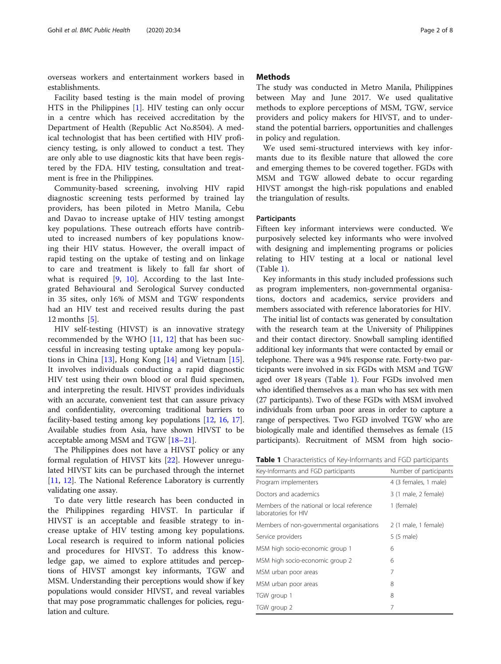overseas workers and entertainment workers based in establishments.

Facility based testing is the main model of proving HTS in the Philippines [[1\]](#page-6-0). HIV testing can only occur in a centre which has received accreditation by the Department of Health (Republic Act No.8504). A medical technologist that has been certified with HIV proficiency testing, is only allowed to conduct a test. They are only able to use diagnostic kits that have been registered by the FDA. HIV testing, consultation and treatment is free in the Philippines.

Community-based screening, involving HIV rapid diagnostic screening tests performed by trained lay providers, has been piloted in Metro Manila, Cebu and Davao to increase uptake of HIV testing amongst key populations. These outreach efforts have contributed to increased numbers of key populations knowing their HIV status. However, the overall impact of rapid testing on the uptake of testing and on linkage to care and treatment is likely to fall far short of what is required [\[9](#page-6-0), [10\]](#page-6-0). According to the last Integrated Behavioural and Serological Survey conducted in 35 sites, only 16% of MSM and TGW respondents had an HIV test and received results during the past 12 months [\[5](#page-6-0)].

HIV self-testing (HIVST) is an innovative strategy recommended by the WHO [\[11](#page-6-0), [12\]](#page-6-0) that has been successful in increasing testing uptake among key populations in China [[13\]](#page-6-0), Hong Kong [[14\]](#page-6-0) and Vietnam [\[15](#page-6-0)]. It involves individuals conducting a rapid diagnostic HIV test using their own blood or oral fluid specimen, and interpreting the result. HIVST provides individuals with an accurate, convenient test that can assure privacy and confidentiality, overcoming traditional barriers to facility-based testing among key populations [[12](#page-6-0), [16,](#page-6-0) [17](#page-7-0)]. Available studies from Asia, have shown HIVST to be acceptable among MSM and TGW [\[18](#page-7-0)–[21](#page-7-0)].

The Philippines does not have a HIVST policy or any formal regulation of HIVST kits [[22\]](#page-7-0). However unregulated HIVST kits can be purchased through the internet [[11,](#page-6-0) [12](#page-6-0)]. The National Reference Laboratory is currently validating one assay.

To date very little research has been conducted in the Philippines regarding HIVST. In particular if HIVST is an acceptable and feasible strategy to increase uptake of HIV testing among key populations. Local research is required to inform national policies and procedures for HIVST. To address this knowledge gap, we aimed to explore attitudes and perceptions of HIVST amongst key informants, TGW and MSM. Understanding their perceptions would show if key populations would consider HIVST, and reveal variables that may pose programmatic challenges for policies, regulation and culture.

# **Methods**

The study was conducted in Metro Manila, Philippines between May and June 2017. We used qualitative methods to explore perceptions of MSM, TGW, service providers and policy makers for HIVST, and to understand the potential barriers, opportunities and challenges in policy and regulation.

We used semi-structured interviews with key informants due to its flexible nature that allowed the core and emerging themes to be covered together. FGDs with MSM and TGW allowed debate to occur regarding HIVST amongst the high-risk populations and enabled the triangulation of results.

### **Participants**

Fifteen key informant interviews were conducted. We purposively selected key informants who were involved with designing and implementing programs or policies relating to HIV testing at a local or national level (Table 1).

Key informants in this study included professions such as program implementers, non-governmental organisations, doctors and academics, service providers and members associated with reference laboratories for HIV.

The initial list of contacts was generated by consultation with the research team at the University of Philippines and their contact directory. Snowball sampling identified additional key informants that were contacted by email or telephone. There was a 94% response rate. Forty-two participants were involved in six FGDs with MSM and TGW aged over 18 years (Table 1). Four FGDs involved men who identified themselves as a man who has sex with men (27 participants). Two of these FGDs with MSM involved individuals from urban poor areas in order to capture a range of perspectives. Two FGD involved TGW who are biologically male and identified themselves as female (15 participants). Recruitment of MSM from high socio-

|  |  | <b>Table 1</b> Characteristics of Key-Informants and FGD participants |
|--|--|-----------------------------------------------------------------------|
|--|--|-----------------------------------------------------------------------|

| Key-Informants and FGD participants                                | Number of participants |
|--------------------------------------------------------------------|------------------------|
| Program implementers                                               | 4 (3 females, 1 male)  |
| Doctors and academics                                              | 3 (1 male, 2 female)   |
| Members of the national or local reference<br>laboratories for HIV | 1 (female)             |
| Members of non-governmental organisations                          | 2 (1 male, 1 female)   |
| Service providers                                                  | 5 (5 male)             |
| MSM high socio-economic group 1                                    | 6                      |
| MSM high socio-economic group 2                                    | 6                      |
| MSM urban poor areas                                               | 7                      |
| MSM urban poor areas                                               | 8                      |
| TGW group 1                                                        | 8                      |
| TGW group 2                                                        | 7                      |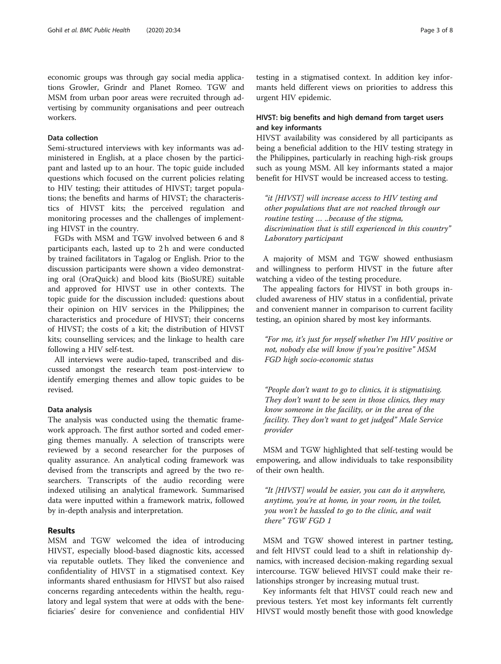economic groups was through gay social media applications Growler, Grindr and Planet Romeo. TGW and MSM from urban poor areas were recruited through advertising by community organisations and peer outreach workers.

# Data collection

Semi-structured interviews with key informants was administered in English, at a place chosen by the participant and lasted up to an hour. The topic guide included questions which focused on the current policies relating to HIV testing; their attitudes of HIVST; target populations; the benefits and harms of HIVST; the characteristics of HIVST kits; the perceived regulation and monitoring processes and the challenges of implementing HIVST in the country.

FGDs with MSM and TGW involved between 6 and 8 participants each, lasted up to 2 h and were conducted by trained facilitators in Tagalog or English. Prior to the discussion participants were shown a video demonstrating oral (OraQuick) and blood kits (BioSURE) suitable and approved for HIVST use in other contexts. The topic guide for the discussion included: questions about their opinion on HIV services in the Philippines; the characteristics and procedure of HIVST; their concerns of HIVST; the costs of a kit; the distribution of HIVST kits; counselling services; and the linkage to health care following a HIV self-test.

All interviews were audio-taped, transcribed and discussed amongst the research team post-interview to identify emerging themes and allow topic guides to be revised.

### Data analysis

The analysis was conducted using the thematic framework approach. The first author sorted and coded emerging themes manually. A selection of transcripts were reviewed by a second researcher for the purposes of quality assurance. An analytical coding framework was devised from the transcripts and agreed by the two researchers. Transcripts of the audio recording were indexed utilising an analytical framework. Summarised data were inputted within a framework matrix, followed by in-depth analysis and interpretation.

# Results

MSM and TGW welcomed the idea of introducing HIVST, especially blood-based diagnostic kits, accessed via reputable outlets. They liked the convenience and confidentiality of HIVST in a stigmatised context. Key informants shared enthusiasm for HIVST but also raised concerns regarding antecedents within the health, regulatory and legal system that were at odds with the beneficiaries' desire for convenience and confidential HIV testing in a stigmatised context. In addition key informants held different views on priorities to address this urgent HIV epidemic.

# HIVST: big benefits and high demand from target users and key informants

HIVST availability was considered by all participants as being a beneficial addition to the HIV testing strategy in the Philippines, particularly in reaching high-risk groups such as young MSM. All key informants stated a major benefit for HIVST would be increased access to testing.

"it [HIVST] will increase access to HIV testing and other populations that are not reached through our routine testing ... ..because of the stigma, discrimination that is still experienced in this country" Laboratory participant

A majority of MSM and TGW showed enthusiasm and willingness to perform HIVST in the future after watching a video of the testing procedure.

The appealing factors for HIVST in both groups included awareness of HIV status in a confidential, private and convenient manner in comparison to current facility testing, an opinion shared by most key informants.

"For me, it's just for myself whether I'm HIV positive or not, nobody else will know if you're positive" MSM FGD high socio-economic status

"People don't want to go to clinics, it is stigmatising. They don't want to be seen in those clinics, they may know someone in the facility, or in the area of the facility. They don't want to get judged" Male Service provider

MSM and TGW highlighted that self-testing would be empowering, and allow individuals to take responsibility of their own health.

"It [HIVST] would be easier, you can do it anywhere, anytime, you're at home, in your room, in the toilet, you won't be hassled to go to the clinic, and wait there" TGW FGD 1

MSM and TGW showed interest in partner testing, and felt HIVST could lead to a shift in relationship dynamics, with increased decision-making regarding sexual intercourse. TGW believed HIVST could make their relationships stronger by increasing mutual trust.

Key informants felt that HIVST could reach new and previous testers. Yet most key informants felt currently HIVST would mostly benefit those with good knowledge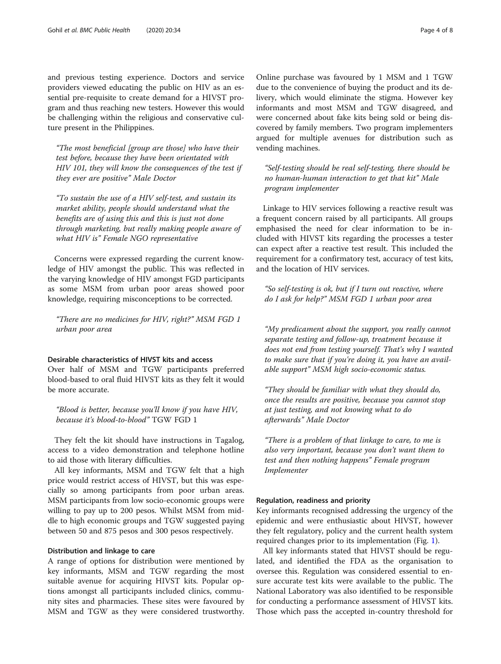and previous testing experience. Doctors and service providers viewed educating the public on HIV as an essential pre-requisite to create demand for a HIVST program and thus reaching new testers. However this would be challenging within the religious and conservative culture present in the Philippines.

"The most beneficial [group are those] who have their test before, because they have been orientated with HIV 101, they will know the consequences of the test if they ever are positive" Male Doctor

"To sustain the use of a HIV self-test, and sustain its market ability, people should understand what the benefits are of using this and this is just not done through marketing, but really making people aware of what HIV is" Female NGO representative

Concerns were expressed regarding the current knowledge of HIV amongst the public. This was reflected in the varying knowledge of HIV amongst FGD participants as some MSM from urban poor areas showed poor knowledge, requiring misconceptions to be corrected.

"There are no medicines for HIV, right?" MSM FGD 1 urban poor area

# Desirable characteristics of HIVST kits and access

Over half of MSM and TGW participants preferred blood-based to oral fluid HIVST kits as they felt it would be more accurate.

"Blood is better, because you'll know if you have HIV, because it's blood-to-blood" TGW FGD 1

They felt the kit should have instructions in Tagalog, access to a video demonstration and telephone hotline to aid those with literary difficulties.

All key informants, MSM and TGW felt that a high price would restrict access of HIVST, but this was especially so among participants from poor urban areas. MSM participants from low socio-economic groups were willing to pay up to 200 pesos. Whilst MSM from middle to high economic groups and TGW suggested paying between 50 and 875 pesos and 300 pesos respectively.

# Distribution and linkage to care

A range of options for distribution were mentioned by key informants, MSM and TGW regarding the most suitable avenue for acquiring HIVST kits. Popular options amongst all participants included clinics, community sites and pharmacies. These sites were favoured by MSM and TGW as they were considered trustworthy.

Online purchase was favoured by 1 MSM and 1 TGW due to the convenience of buying the product and its delivery, which would eliminate the stigma. However key informants and most MSM and TGW disagreed, and were concerned about fake kits being sold or being discovered by family members. Two program implementers argued for multiple avenues for distribution such as vending machines.

"Self-testing should be real self-testing, there should be no human-human interaction to get that kit" Male program implementer

Linkage to HIV services following a reactive result was a frequent concern raised by all participants. All groups emphasised the need for clear information to be included with HIVST kits regarding the processes a tester can expect after a reactive test result. This included the requirement for a confirmatory test, accuracy of test kits, and the location of HIV services.

"So self-testing is ok, but if I turn out reactive, where do I ask for help?" MSM FGD 1 urban poor area

"My predicament about the support, you really cannot separate testing and follow-up, treatment because it does not end from testing yourself. That's why I wanted to make sure that if you're doing it, you have an available support" MSM high socio-economic status.

"They should be familiar with what they should do, once the results are positive, because you cannot stop at just testing, and not knowing what to do afterwards" Male Doctor

"There is a problem of that linkage to care, to me is also very important, because you don't want them to test and then nothing happens" Female program Implementer

#### Regulation, readiness and priority

Key informants recognised addressing the urgency of the epidemic and were enthusiastic about HIVST, however they felt regulatory, policy and the current health system required changes prior to its implementation (Fig. [1\)](#page-4-0).

All key informants stated that HIVST should be regulated, and identified the FDA as the organisation to oversee this. Regulation was considered essential to ensure accurate test kits were available to the public. The National Laboratory was also identified to be responsible for conducting a performance assessment of HIVST kits. Those which pass the accepted in-country threshold for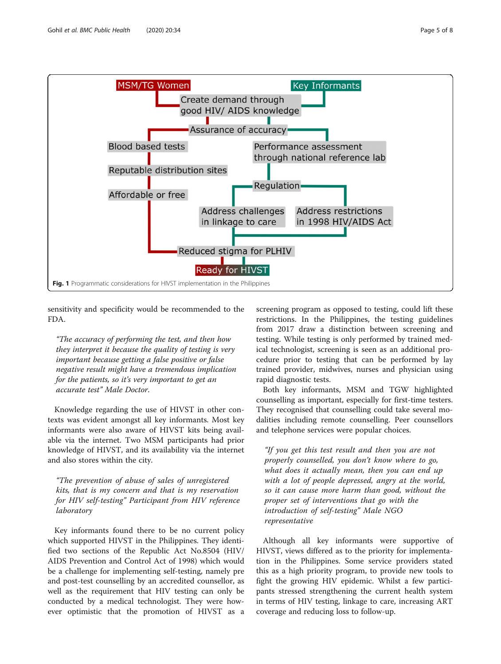<span id="page-4-0"></span>

sensitivity and specificity would be recommended to the FDA.

"The accuracy of performing the test, and then how they interpret it because the quality of testing is very important because getting a false positive or false negative result might have a tremendous implication for the patients, so it's very important to get an accurate test" Male Doctor.

Knowledge regarding the use of HIVST in other contexts was evident amongst all key informants. Most key informants were also aware of HIVST kits being available via the internet. Two MSM participants had prior knowledge of HIVST, and its availability via the internet and also stores within the city.

"The prevention of abuse of sales of unregistered kits, that is my concern and that is my reservation for HIV self-testing" Participant from HIV reference laboratory

Key informants found there to be no current policy which supported HIVST in the Philippines. They identified two sections of the Republic Act No.8504 (HIV/ AIDS Prevention and Control Act of 1998) which would be a challenge for implementing self-testing, namely pre and post-test counselling by an accredited counsellor, as well as the requirement that HIV testing can only be conducted by a medical technologist. They were however optimistic that the promotion of HIVST as a

screening program as opposed to testing, could lift these restrictions. In the Philippines, the testing guidelines from 2017 draw a distinction between screening and testing. While testing is only performed by trained medical technologist, screening is seen as an additional procedure prior to testing that can be performed by lay trained provider, midwives, nurses and physician using rapid diagnostic tests.

Both key informants, MSM and TGW highlighted counselling as important, especially for first-time testers. They recognised that counselling could take several modalities including remote counselling. Peer counsellors and telephone services were popular choices.

"If you get this test result and then you are not properly counselled, you don't know where to go, what does it actually mean, then you can end up with a lot of people depressed, angry at the world, so it can cause more harm than good, without the proper set of interventions that go with the introduction of self-testing" Male NGO representative

Although all key informants were supportive of HIVST, views differed as to the priority for implementation in the Philippines. Some service providers stated this as a high priority program, to provide new tools to fight the growing HIV epidemic. Whilst a few participants stressed strengthening the current health system in terms of HIV testing, linkage to care, increasing ART coverage and reducing loss to follow-up.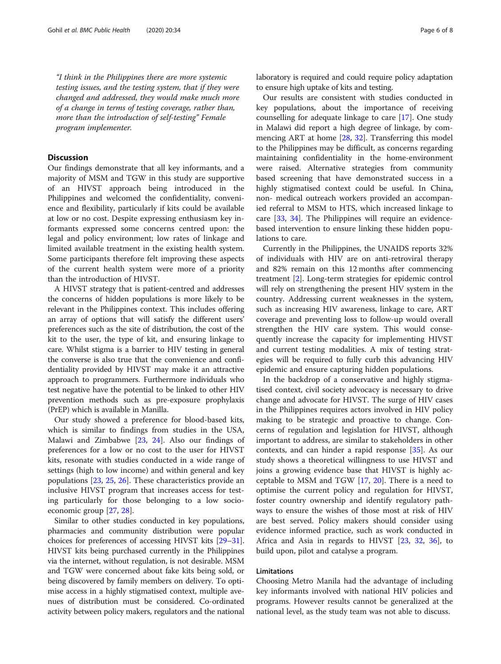"I think in the Philippines there are more systemic testing issues, and the testing system, that if they were changed and addressed, they would make much more of a change in terms of testing coverage, rather than, more than the introduction of self-testing" Female program implementer.

# **Discussion**

Our findings demonstrate that all key informants, and a majority of MSM and TGW in this study are supportive of an HIVST approach being introduced in the Philippines and welcomed the confidentiality, convenience and flexibility, particularly if kits could be available at low or no cost. Despite expressing enthusiasm key informants expressed some concerns centred upon: the legal and policy environment; low rates of linkage and limited available treatment in the existing health system. Some participants therefore felt improving these aspects of the current health system were more of a priority than the introduction of HIVST.

A HIVST strategy that is patient-centred and addresses the concerns of hidden populations is more likely to be relevant in the Philippines context. This includes offering an array of options that will satisfy the different users' preferences such as the site of distribution, the cost of the kit to the user, the type of kit, and ensuring linkage to care. Whilst stigma is a barrier to HIV testing in general the converse is also true that the convenience and confidentiality provided by HIVST may make it an attractive approach to programmers. Furthermore individuals who test negative have the potential to be linked to other HIV prevention methods such as pre-exposure prophylaxis (PrEP) which is available in Manilla.

Our study showed a preference for blood-based kits, which is similar to findings from studies in the USA, Malawi and Zimbabwe [[23](#page-7-0), [24\]](#page-7-0). Also our findings of preferences for a low or no cost to the user for HIVST kits, resonate with studies conducted in a wide range of settings (high to low income) and within general and key populations [[23](#page-7-0), [25](#page-7-0), [26](#page-7-0)]. These characteristics provide an inclusive HIVST program that increases access for testing particularly for those belonging to a low socioeconomic group [\[27](#page-7-0), [28](#page-7-0)].

Similar to other studies conducted in key populations, pharmacies and community distribution were popular choices for preferences of accessing HIVST kits [\[29](#page-7-0)–[31](#page-7-0)]. HIVST kits being purchased currently in the Philippines via the internet, without regulation, is not desirable. MSM and TGW were concerned about fake kits being sold, or being discovered by family members on delivery. To optimise access in a highly stigmatised context, multiple avenues of distribution must be considered. Co-ordinated activity between policy makers, regulators and the national laboratory is required and could require policy adaptation to ensure high uptake of kits and testing.

Our results are consistent with studies conducted in key populations, about the importance of receiving counselling for adequate linkage to care [\[17\]](#page-7-0). One study in Malawi did report a high degree of linkage, by commencing ART at home [[28](#page-7-0), [32\]](#page-7-0). Transferring this model to the Philippines may be difficult, as concerns regarding maintaining confidentiality in the home-environment were raised. Alternative strategies from community based screening that have demonstrated success in a highly stigmatised context could be useful. In China, non- medical outreach workers provided an accompanied referral to MSM to HTS, which increased linkage to care [[33,](#page-7-0) [34\]](#page-7-0). The Philippines will require an evidencebased intervention to ensure linking these hidden populations to care.

Currently in the Philippines, the UNAIDS reports 32% of individuals with HIV are on anti-retroviral therapy and 82% remain on this 12 months after commencing treatment [\[2](#page-6-0)]. Long-term strategies for epidemic control will rely on strengthening the present HIV system in the country. Addressing current weaknesses in the system, such as increasing HIV awareness, linkage to care, ART coverage and preventing loss to follow-up would overall strengthen the HIV care system. This would consequently increase the capacity for implementing HIVST and current testing modalities. A mix of testing strategies will be required to fully curb this advancing HIV epidemic and ensure capturing hidden populations.

In the backdrop of a conservative and highly stigmatised context, civil society advocacy is necessary to drive change and advocate for HIVST. The surge of HIV cases in the Philippines requires actors involved in HIV policy making to be strategic and proactive to change. Concerns of regulation and legislation for HIVST, although important to address, are similar to stakeholders in other contexts, and can hinder a rapid response [\[35](#page-7-0)]. As our study shows a theoretical willingness to use HIVST and joins a growing evidence base that HIVST is highly acceptable to MSM and TGW [[17](#page-7-0), [20\]](#page-7-0). There is a need to optimise the current policy and regulation for HIVST, foster country ownership and identify regulatory pathways to ensure the wishes of those most at risk of HIV are best served. Policy makers should consider using evidence informed practice, such as work conducted in Africa and Asia in regards to HIVST [\[23,](#page-7-0) [32,](#page-7-0) [36\]](#page-7-0), to build upon, pilot and catalyse a program.

# Limitations

Choosing Metro Manila had the advantage of including key informants involved with national HIV policies and programs. However results cannot be generalized at the national level, as the study team was not able to discuss.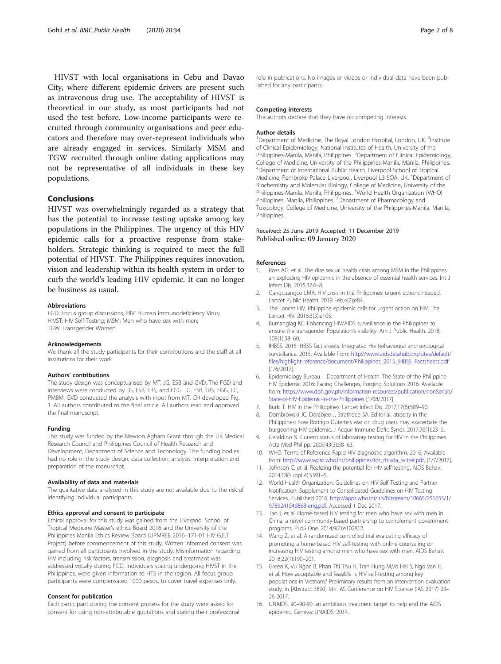<span id="page-6-0"></span>HIVST with local organisations in Cebu and Davao City, where different epidemic drivers are present such as intravenous drug use. The acceptability of HIVST is theoretical in our study, as most participants had not used the test before. Low-income participants were recruited through community organisations and peer educators and therefore may over-represent individuals who are already engaged in services. Similarly MSM and TGW recruited through online dating applications may not be representative of all individuals in these key populations.

# Conclusions

HIVST was overwhelmingly regarded as a strategy that has the potential to increase testing uptake among key populations in the Philippines. The urgency of this HIV epidemic calls for a proactive response from stakeholders. Strategic thinking is required to meet the full potential of HIVST. The Philippines requires innovation, vision and leadership within its health system in order to curb the world's leading HIV epidemic. It can no longer be business as usual.

#### Abbreviations

FGD: Focus group discussions; HIV: Human immunodeficiency Virus; HIVST: HIV Self-Testing; MSM: Men who have sex with men; TGW: Transgender Women

#### Acknowledgements

We thank all the study participants for their contributions and the staff at all institutions for their work.

#### Authors' contributions

The study design was conceptualised by MT, JG, ESB and GVD. The FGD and interviews were conducted by JG, ESB, TRS, and EGG. JG, ESB, TRS, EGG, LC, PMBM, GVD conducted the analysis with input from MT. CH developed Fig. [1](#page-4-0). All authors contributed to the final article. All authors read and approved the final manuscript.

#### Funding

This study was funded by the Newton Agham Grant through the UK Medical Research Council and Philippines Council of Health Research and Development, Department of Science and Technology. The funding bodies had no role in the study design, data collection, analysis, interpretation and preparation of the manuscript.

#### Availability of data and materials

The qualitative data analysed in this study are not available due to the risk of identifying individual participants.

#### Ethics approval and consent to participate

Ethical approval for this study was gained from the Liverpool School of Tropical Medicine Master's ethics Board 2016 and the University of the Philippines Manila Ethics Review Board (UPMREB 2016–171-01 HIV G.E.T Project) before commencement of this study. Written informed consent was gained from all participants involved in the study. Misinformation regarding HIV including risk factors, transmission, diagnosis and treatment was addressed vocally during FGD. Individuals stating undergoing HIVST in the Philippines, were given information to HTS in the region. All focus group participants were compensated 1000 pesos, to cover travel expenses only.

#### Consent for publication

Each participant during the consent process for the study were asked for consent for using non-attributable quotations and stating their professional role in publications. No images or videos or individual data have been published for any participants.

#### Competing interests

The authors declare that they have no competing interests.

#### Author details

<sup>1</sup>Department of Medicine, The Royal London Hospital, London, UK. <sup>2</sup>Institute of Clinical Epidemiology, National Institutes of Health, University of the Philippines-Manila, Manila, Philippines. <sup>3</sup>Department of Clinical Epidemiology, College of Medicine, University of the Philippines-Manila, Manila, Philippines. 4 Department of International Public Health, Liverpool School of Tropical Medicine, Pembroke Palace Liverpool, Liverpool L3 5QA, UK. <sup>5</sup>Department of Biochemistry and Molecular Biology, College of Medicine, University of the Philippines-Manila, Manila, Philippines. <sup>6</sup>World Health Organization (WHO) Philippines, Manila, Philippines. <sup>7</sup> Department of Pharmacology and Toxicology, College of Medicine, University of the Philippines-Manila, Manila, Philippines.

#### Received: 25 June 2019 Accepted: 11 December 2019 Published online: 09 January 2020

#### References

- 1. Ross AG, et al. The dire sexual health crisis among MSM in the Philippines: an exploding HIV epidemic in the absence of essential health services. Int J Infect Dis. 2015;37:6–8.
- 2. Gangcuangco LMA. HIV crisis in the Philippines: urgent actions needed. Lancet Public Health. 2019 Feb;4(2):e84.
- 3. The Lancet HIV. Philippine epidemic calls for urgent action on HIV. The Lancet HIV. 2016;3(3):e105.
- 4. Bumanglag KC. Enhancing HIV/AIDS surveillance in the Philippines to ensure the transgender Population's visibility. Am J Public Health. 2018; 108(1):58–60.
- 5. IHBSS. 2015 IHBSS fact sheets. Integrated Hiv behavioural and serological surveillance. 2015. Available from: [http://www.aidsdatahub.org/sites/default/](http://www.aidsdatahub.org/sites/default/files/highlight-reference/document/Philippines_2015_IHBSS_Factsheets.pdf) [files/highlight-reference/document/Philippines\\_2015\\_IHBSS\\_Factsheets.pdf](http://www.aidsdatahub.org/sites/default/files/highlight-reference/document/Philippines_2015_IHBSS_Factsheets.pdf) [1/6/2017].
- 6. Epidemiology Bureau Department of Health. The State of the Philippine HIV Epidemic 2016: Facing Challenges, Forging Solutions 2016. Available from: [https://www.doh.gov.ph/information-resources/publication/nonSerials/](https://www.doh.gov.ph/information-resources/publication/nonSerials/State-of-HIV-Epidemic-in-the-Philippines) [State-of-HIV-Epidemic-in-the-Philippines](https://www.doh.gov.ph/information-resources/publication/nonSerials/State-of-HIV-Epidemic-in-the-Philippines) [1/08/2017].
- 7. Burki T. HIV in the Philippines. Lancet Infect Dis. 2017;17(6):589–90.
- 8. Dombrowski JC, Dorabiee J, Strathdee SA, Editorial: atrocity in the Philippines: how Rodrigo Duterte's war on drug users may exacerbate the burgeoning HIV epidemic. J Acquir Immune Defic Syndr. 2017;76(1):23–5.
- 9. Geraldino N. Current status of laboratory testing for HIV in the Philippines. Acta Med Philipp. 2009;43(3):58–63.
- 10. WHO. Terms of Reference Rapid HIV diagnostic algorithm. 2016; Available from: [http://www.wpro.who.int/philippines/tor\\_rhivda\\_writer.pdf](http://www.wpro.who.int/philippines/tor_rhivda_writer.pdf). [1/7/2017].
- 11. Johnson C, et al. Realizing the potential for HIV self-testing. AIDS Behav. 2014;18(Suppl 4):S391–5.
- 12. World Health Organization. Guidelines on HIV Self-Testing and Partner Notification: Supplement to Consolidated Guidelines on HIV Testing Services. Published 2016. [http://apps.who.int/iris/bitstream/10665/251655/1/](http://apps.who.int/iris/bitstream/10665/251655/1/9789241549868-eng.pdf) [9789241549868-eng.pdf.](http://apps.who.int/iris/bitstream/10665/251655/1/9789241549868-eng.pdf) Accessed 1 Dec 2017.
- 13. Tao J, et al. Home-based HIV testing for men who have sex with men in China: a novel community-based partnership to complement government programs. PLoS One. 2014;9(7):e102812.
- 14. Wang Z, et al. A randomized controlled trial evaluating efficacy of promoting a home-based HIV self-testing with online counseling on increasing HIV testing among men who have sex with men. AIDS Behav. 2018;22(1):190–201.
- 15. Green K, Vu Ngoc B, Phan Thi Thu H, Tran Hung M,Vo Hai S, Ngo Van H, et al. How acceptable and feasible is HIV self-testing among key populations in Vietnam? Preliminary results from an intervention evaluation study, in [Abstract 3890] 9th IAS Conference on HIV Science (IAS 2017) 23– 26 2017.
- 16. UNAIDS. 90–90-90: an ambitious treatment target to help end the AIDS epidemic. Geneva: UNAIDS; 2014.